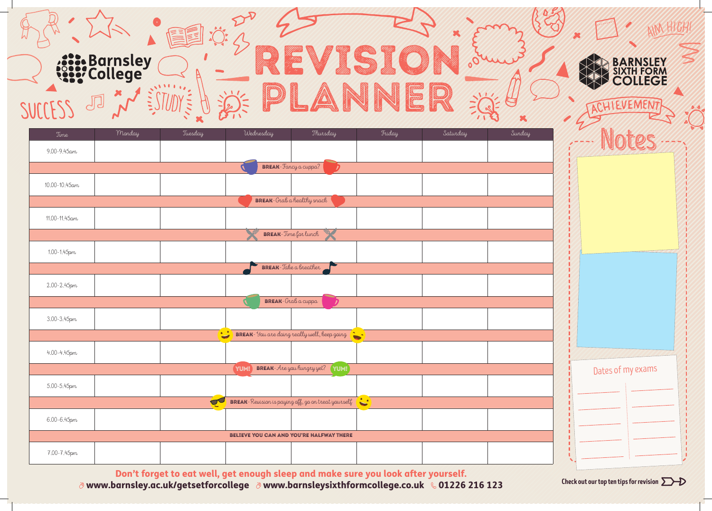

| Time                  | Monday | Tuesday                 | Wednesday                                | Thursday                                                   | Friday | Saturday | Sunday |
|-----------------------|--------|-------------------------|------------------------------------------|------------------------------------------------------------|--------|----------|--------|
| $9.00 - 9.45$ am      |        |                         |                                          |                                                            |        |          |        |
|                       |        |                         | <b>BREAK</b> -Fancy a cuppa?             |                                                            |        |          |        |
| $10.00 - 10.45$ am    |        |                         |                                          |                                                            |        |          |        |
|                       |        |                         | <b>BREAK</b> -Grab a healthy snack       |                                                            |        |          |        |
| 11.00-11.45am         |        |                         |                                          |                                                            |        |          |        |
|                       |        |                         |                                          | <b>BREAK</b> -Time for lunch                               |        |          |        |
| 1.00-1.45pm           |        |                         |                                          |                                                            |        |          |        |
| BREAK-Jake a breather |        |                         |                                          |                                                            |        |          |        |
| 2.00-2.45pm           |        |                         |                                          |                                                            |        |          |        |
|                       |        |                         | <b>BREAK</b> -Grab a cuppa               |                                                            |        |          |        |
| 3.00-3.45pm           |        |                         |                                          |                                                            |        |          |        |
|                       |        |                         |                                          | BREAK- You are doing really well, keep going               |        |          |        |
| 4.00-4.45pm           |        |                         |                                          |                                                            |        |          |        |
|                       |        |                         | BREAK-Are you hungry yet?<br>YUM!        | (YUM!)                                                     |        |          |        |
| 5.00-5.45pm           |        |                         |                                          |                                                            |        |          |        |
|                       |        | $\overline{\mathbf{C}}$ |                                          | <b>BREAK</b> -Revision is paying off, go on treat yourself |        |          |        |
| 6.00-6.45pm           |        |                         |                                          |                                                            |        |          |        |
|                       |        |                         | BELIEVE YOU CAN AND YOU'RE HALFWAY THERE |                                                            |        |          |        |
| 7.00-7.45pm           |        |                         |                                          |                                                            |        |          |        |

Don't forget to eat well, get enough sleep and make sure you look after yourself.<br>Darnsley as uk/aetsetforcollege and way barnsleysixthformsollege so uk 8 01226 216 123 Checkout our top tentips for revision  $\Sigma$ www.barnsley.ac.uk/getsetforcollege www.barnsleysixthformcollege.co.uk 01226 216 123